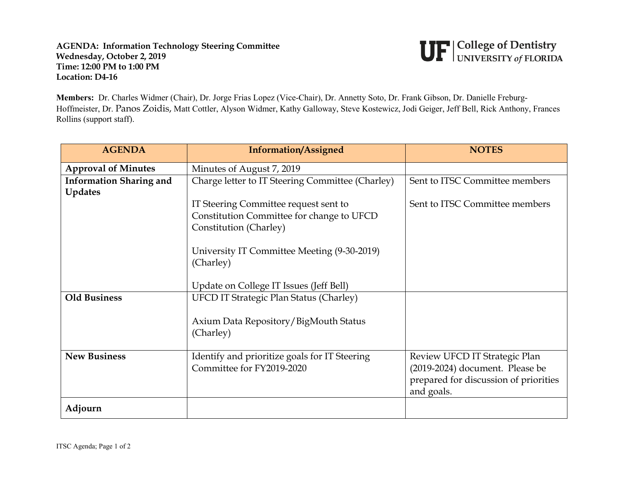## **AGENDA: Information Technology Steering Committee Wednesday, October 2, 2019 Time: 12:00 PM to 1:00 PM Location: D4-16**



**Members:** Dr. Charles Widmer (Chair), Dr. Jorge Frias Lopez (Vice-Chair), Dr. Annetty Soto, Dr. Frank Gibson, Dr. Danielle Freburg-Hoffmeister, Dr. Panos Zoidis, Matt Cottler, Alyson Widmer, Kathy Galloway, Steve Kostewicz, Jodi Geiger, Jeff Bell, Rick Anthony, Frances Rollins (support staff).

| <b>AGENDA</b>                  | <b>Information/Assigned</b>                      | <b>NOTES</b>                          |
|--------------------------------|--------------------------------------------------|---------------------------------------|
| <b>Approval of Minutes</b>     | Minutes of August 7, 2019                        |                                       |
| <b>Information Sharing and</b> | Charge letter to IT Steering Committee (Charley) | Sent to ITSC Committee members        |
| <b>Updates</b>                 |                                                  |                                       |
|                                | IT Steering Committee request sent to            | Sent to ITSC Committee members        |
|                                | Constitution Committee for change to UFCD        |                                       |
|                                | Constitution (Charley)                           |                                       |
|                                | University IT Committee Meeting (9-30-2019)      |                                       |
|                                | (Charley)                                        |                                       |
|                                |                                                  |                                       |
|                                | Update on College IT Issues (Jeff Bell)          |                                       |
| <b>Old Business</b>            | <b>UFCD IT Strategic Plan Status (Charley)</b>   |                                       |
|                                |                                                  |                                       |
|                                | Axium Data Repository/BigMouth Status            |                                       |
|                                | (Charley)                                        |                                       |
| <b>New Business</b>            | Identify and prioritize goals for IT Steering    | Review UFCD IT Strategic Plan         |
|                                | Committee for FY2019-2020                        | (2019-2024) document. Please be       |
|                                |                                                  | prepared for discussion of priorities |
|                                |                                                  | and goals.                            |
| Adjourn                        |                                                  |                                       |